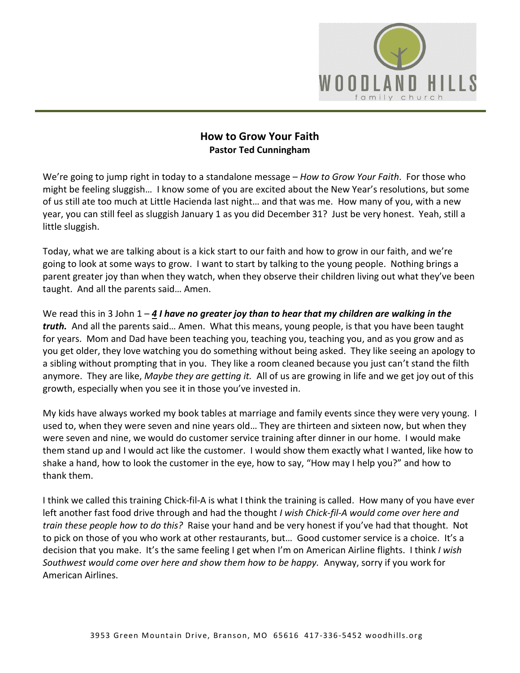

## **How to Grow Your Faith Pastor Ted Cunningham**

We're going to jump right in today to a standalone message – *How to Grow Your Faith*. For those who might be feeling sluggish… I know some of you are excited about the New Year's resolutions, but some of us still ate too much at Little Hacienda last night… and that was me. How many of you, with a new year, you can still feel as sluggish January 1 as you did December 31? Just be very honest. Yeah, still a little sluggish.

Today, what we are talking about is a kick start to our faith and how to grow in our faith, and we're going to look at some ways to grow. I want to start by talking to the young people. Nothing brings a parent greater joy than when they watch, when they observe their children living out what they've been taught. And all the parents said… Amen.

We read this in 3 John 1 – [4](https://www.studylight.org/desk/?q=3jo%201:4&t1=en_niv&sr=1) *I have no greater joy than to hear that my children are walking in the truth.* And all the parents said… Amen. What this means, young people, is that you have been taught for years. Mom and Dad have been teaching you, teaching you, teaching you, and as you grow and as you get older, they love watching you do something without being asked. They like seeing an apology to a sibling without prompting that in you. They like a room cleaned because you just can't stand the filth anymore. They are like, *Maybe they are getting it.* All of us are growing in life and we get joy out of this growth, especially when you see it in those you've invested in.

My kids have always worked my book tables at marriage and family events since they were very young. I used to, when they were seven and nine years old… They are thirteen and sixteen now, but when they were seven and nine, we would do customer service training after dinner in our home. I would make them stand up and I would act like the customer. I would show them exactly what I wanted, like how to shake a hand, how to look the customer in the eye, how to say, "How may I help you?" and how to thank them.

I think we called this training Chick-fil-A is what I think the training is called. How many of you have ever left another fast food drive through and had the thought *I wish Chick-fil-A would come over here and train these people how to do this?* Raise your hand and be very honest if you've had that thought. Not to pick on those of you who work at other restaurants, but… Good customer service is a choice. It's a decision that you make. It's the same feeling I get when I'm on American Airline flights. I think *I wish Southwest would come over here and show them how to be happy.* Anyway, sorry if you work for American Airlines.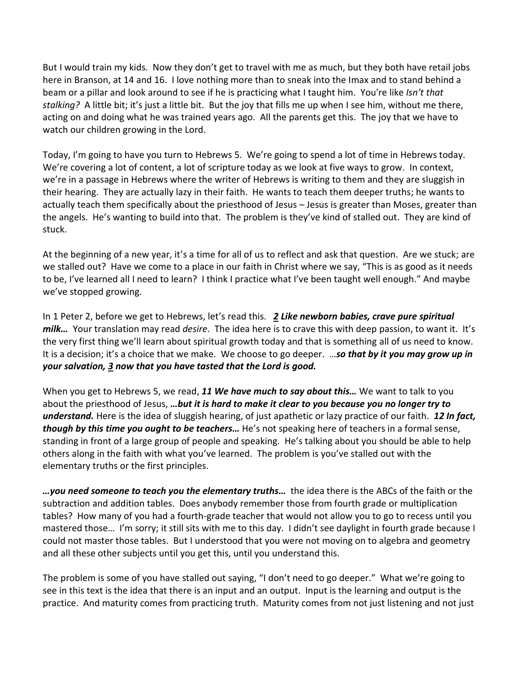But I would train my kids. Now they don't get to travel with me as much, but they both have retail jobs here in Branson, at 14 and 16. I love nothing more than to sneak into the Imax and to stand behind a beam or a pillar and look around to see if he is practicing what I taught him. You're like *Isn't that stalking?* A little bit; it's just a little bit. But the joy that fills me up when I see him, without me there, acting on and doing what he was trained years ago. All the parents get this. The joy that we have to watch our children growing in the Lord.

Today, I'm going to have you turn to Hebrews 5. We're going to spend a lot of time in Hebrews today. We're covering a lot of content, a lot of scripture today as we look at five ways to grow. In context, we're in a passage in Hebrews where the writer of Hebrews is writing to them and they are sluggish in their hearing. They are actually lazy in their faith. He wants to teach them deeper truths; he wants to actually teach them specifically about the priesthood of Jesus – Jesus is greater than Moses, greater than the angels. He's wanting to build into that. The problem is they've kind of stalled out. They are kind of stuck.

At the beginning of a new year, it's a time for all of us to reflect and ask that question. Are we stuck; are we stalled out? Have we come to a place in our faith in Christ where we say, "This is as good as it needs to be, I've learned all I need to learn? I think I practice what I've been taught well enough." And maybe we've stopped growing.

In 1 Peter 2, before we get to Hebrews, let's read this. *[2](https://www.studylight.org/desk/?q=1pe%202:2&t1=en_niv&sr=1) Like newborn babies, crave pure spiritual milk…* Your translation may read *desire*. The idea here is to crave this with deep passion, to want it. It's the very first thing we'll learn about spiritual growth today and that is something all of us need to know. It is a decision; it's a choice that we make. We choose to go deeper. …*so that by it you may grow up in your salvation, [3](https://www.studylight.org/desk/?q=1pe%202:3&t1=en_niv&sr=1) now that you have tasted that the Lord is good.*

When you get to Hebrews 5, we read, *[11](https://www.studylight.org/desk/?q=heb%205:11&t1=en_niv&sr=1) We have much to say about this…* We want to talk to you about the priesthood of Jesus, *…but it is hard to make it clear to you because you no longer try to understand.* Here is the idea of sluggish hearing, of just apathetic or lazy practice of our faith. *[12](https://www.studylight.org/desk/?q=heb%205:12&t1=en_niv&sr=1) In fact, though by this time you ought to be teachers…* He's not speaking here of teachers in a formal sense, standing in front of a large group of people and speaking. He's talking about you should be able to help others along in the faith with what you've learned. The problem is you've stalled out with the elementary truths or the first principles.

*…you need someone to teach you the elementary truths…* the idea there is the ABCs of the faith or the subtraction and addition tables. Does anybody remember those from fourth grade or multiplication tables? How many of you had a fourth-grade teacher that would not allow you to go to recess until you mastered those… I'm sorry; it still sits with me to this day. I didn't see daylight in fourth grade because I could not master those tables. But I understood that you were not moving on to algebra and geometry and all these other subjects until you get this, until you understand this.

The problem is some of you have stalled out saying, "I don't need to go deeper." What we're going to see in this text is the idea that there is an input and an output. Input is the learning and output is the practice. And maturity comes from practicing truth. Maturity comes from not just listening and not just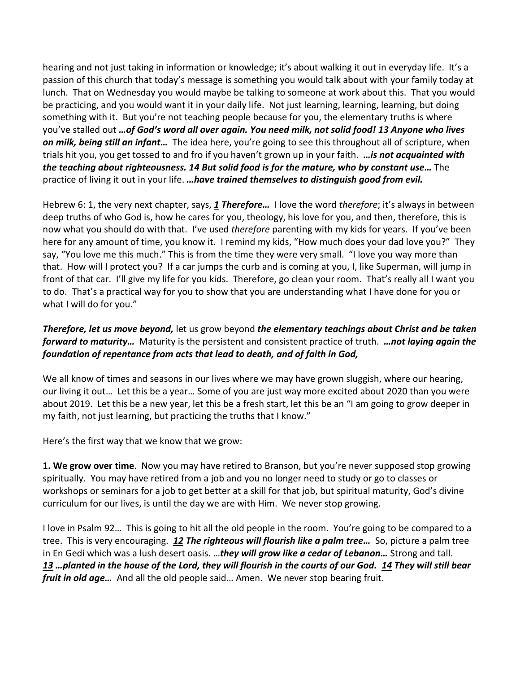hearing and not just taking in information or knowledge; it's about walking it out in everyday life. It's a passion of this church that today's message is something you would talk about with your family today at lunch. That on Wednesday you would maybe be talking to someone at work about this. That you would be practicing, and you would want it in your daily life. Not just learning, learning, learning, but doing something with it. But you're not teaching people because for you, the elementary truths is where you've stalled out *…of God's word all over again. You need milk, not solid food! [13](https://www.studylight.org/desk/?q=heb%205:13&t1=en_niv&sr=1) Anyone who lives on milk, being still an infant…* The idea here, you're going to see this throughout all of scripture, when trials hit you, you get tossed to and fro if you haven't grown up in your faith. *…is not acquainted with the teaching about righteousness. [14](https://www.studylight.org/desk/?q=heb%205:14&t1=en_niv&sr=1) But solid food is for the mature, who by constant use…* The practice of living it out in your life. *…have trained themselves to distinguish good from evil.*

Hebrew 6: 1, the very next chapter, says, *[1](https://www.studylight.org/desk/?q=heb%206:1&t1=en_niv&sr=1) Therefore…* I love the word *therefore*; it's always in between deep truths of who God is, how he cares for you, theology, his love for you, and then, therefore, this is now what you should do with that. I've used *therefore* parenting with my kids for years. If you've been here for any amount of time, you know it. I remind my kids, "How much does your dad love you?" They say, "You love me this much." This is from the time they were very small. "I love you way more than that. How will I protect you? If a car jumps the curb and is coming at you, I, like Superman, will jump in front of that car. I'll give my life for you kids. Therefore, go clean your room. That's really all I want you to do. That's a practical way for you to show that you are understanding what I have done for you or what I will do for you."

*Therefore, let us move beyond,* let us grow beyond *the elementary teachings about Christ and be taken forward to maturity…* Maturity is the persistent and consistent practice of truth. *…not laying again the foundation of repentance from acts that lead to death, and of faith in God,*

We all know of times and seasons in our lives where we may have grown sluggish, where our hearing, our living it out… Let this be a year… Some of you are just way more excited about 2020 than you were about 2019. Let this be a new year, let this be a fresh start, let this be an "I am going to grow deeper in my faith, not just learning, but practicing the truths that I know."

Here's the first way that we know that we grow:

**1. We grow over time**. Now you may have retired to Branson, but you're never supposed stop growing spiritually. You may have retired from a job and you no longer need to study or go to classes or workshops or seminars for a job to get better at a skill for that job, but spiritual maturity, God's divine curriculum for our lives, is until the day we are with Him. We never stop growing.

I love in Psalm 92… This is going to hit all the old people in the room. You're going to be compared to a tree. This is very encouraging. *[12](https://www.studylight.org/desk/?q=ps%2092:12&t1=en_niv&sr=1) The righteous will flourish like a palm tree…* So, picture a palm tree in En Gedi which was a lush desert oasis. …*they will grow like a cedar of Lebanon…* Strong and tall. *[13](https://www.studylight.org/desk/?q=ps%2092:13&t1=en_niv&sr=1) …planted in the house of the Lord, they will flourish in the courts of our God. [14](https://www.studylight.org/desk/?q=ps%2092:14&t1=en_niv&sr=1) They will still bear fruit in old age…* And all the old people said… Amen. We never stop bearing fruit.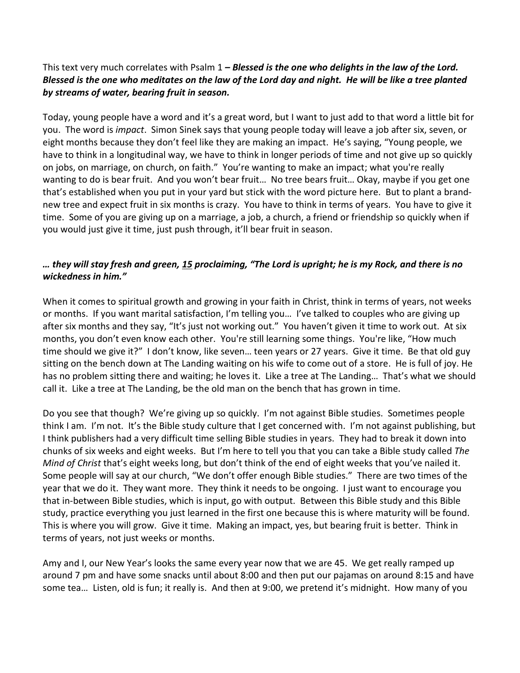## This text very much correlates with Psalm 1 *– Blessed is the one who delights in the law of the Lord. Blessed is the one who meditates on the law of the Lord day and night. He will be like a tree planted by streams of water, bearing fruit in season.*

Today, young people have a word and it's a great word, but I want to just add to that word a little bit for you. The word is *impact*. Simon Sinek says that young people today will leave a job after six, seven, or eight months because they don't feel like they are making an impact. He's saying, "Young people, we have to think in a longitudinal way, we have to think in longer periods of time and not give up so quickly on jobs, on marriage, on church, on faith." You're wanting to make an impact; what you're really wanting to do is bear fruit. And you won't bear fruit… No tree bears fruit… Okay, maybe if you get one that's established when you put in your yard but stick with the word picture here. But to plant a brandnew tree and expect fruit in six months is crazy. You have to think in terms of years. You have to give it time. Some of you are giving up on a marriage, a job, a church, a friend or friendship so quickly when if you would just give it time, just push through, it'll bear fruit in season.

## *… they will stay fresh and green, [15](https://www.studylight.org/desk/?q=ps%2092:15&t1=en_niv&sr=1) proclaiming, "The Lord is upright; he is my Rock, and there is no wickedness in him."*

When it comes to spiritual growth and growing in your faith in Christ, think in terms of years, not weeks or months. If you want marital satisfaction, I'm telling you… I've talked to couples who are giving up after six months and they say, "It's just not working out." You haven't given it time to work out. At six months, you don't even know each other. You're still learning some things. You're like, "How much time should we give it?" I don't know, like seven… teen years or 27 years. Give it time. Be that old guy sitting on the bench down at The Landing waiting on his wife to come out of a store. He is full of joy. He has no problem sitting there and waiting; he loves it. Like a tree at The Landing… That's what we should call it. Like a tree at The Landing, be the old man on the bench that has grown in time.

Do you see that though? We're giving up so quickly. I'm not against Bible studies. Sometimes people think I am. I'm not. It's the Bible study culture that I get concerned with. I'm not against publishing, but I think publishers had a very difficult time selling Bible studies in years. They had to break it down into chunks of six weeks and eight weeks. But I'm here to tell you that you can take a Bible study called *The Mind of Christ* that's eight weeks long, but don't think of the end of eight weeks that you've nailed it. Some people will say at our church, "We don't offer enough Bible studies." There are two times of the year that we do it. They want more. They think it needs to be ongoing. I just want to encourage you that in-between Bible studies, which is input, go with output. Between this Bible study and this Bible study, practice everything you just learned in the first one because this is where maturity will be found. This is where you will grow. Give it time. Making an impact, yes, but bearing fruit is better. Think in terms of years, not just weeks or months.

Amy and I, our New Year's looks the same every year now that we are 45. We get really ramped up around 7 pm and have some snacks until about 8:00 and then put our pajamas on around 8:15 and have some tea… Listen, old is fun; it really is. And then at 9:00, we pretend it's midnight. How many of you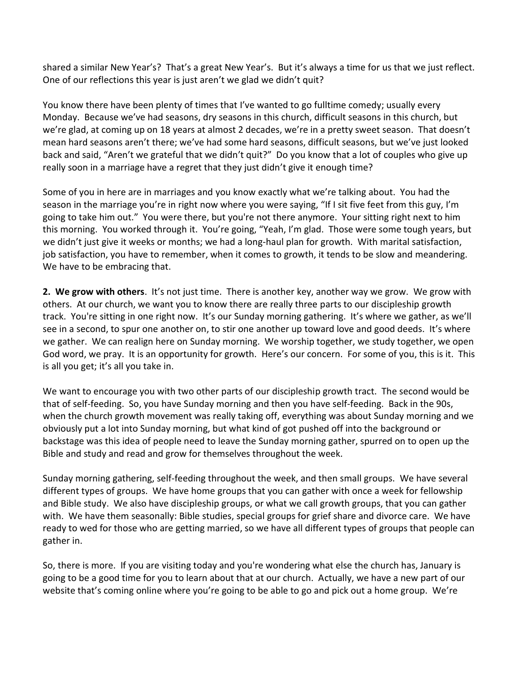shared a similar New Year's? That's a great New Year's. But it's always a time for us that we just reflect. One of our reflections this year is just aren't we glad we didn't quit?

You know there have been plenty of times that I've wanted to go fulltime comedy; usually every Monday. Because we've had seasons, dry seasons in this church, difficult seasons in this church, but we're glad, at coming up on 18 years at almost 2 decades, we're in a pretty sweet season. That doesn't mean hard seasons aren't there; we've had some hard seasons, difficult seasons, but we've just looked back and said, "Aren't we grateful that we didn't quit?" Do you know that a lot of couples who give up really soon in a marriage have a regret that they just didn't give it enough time?

Some of you in here are in marriages and you know exactly what we're talking about. You had the season in the marriage you're in right now where you were saying, "If I sit five feet from this guy, I'm going to take him out." You were there, but you're not there anymore. Your sitting right next to him this morning. You worked through it. You're going, "Yeah, I'm glad. Those were some tough years, but we didn't just give it weeks or months; we had a long-haul plan for growth. With marital satisfaction, job satisfaction, you have to remember, when it comes to growth, it tends to be slow and meandering. We have to be embracing that.

**2. We grow with others**. It's not just time. There is another key, another way we grow. We grow with others. At our church, we want you to know there are really three parts to our discipleship growth track. You're sitting in one right now. It's our Sunday morning gathering. It's where we gather, as we'll see in a second, to spur one another on, to stir one another up toward love and good deeds. It's where we gather. We can realign here on Sunday morning. We worship together, we study together, we open God word, we pray. It is an opportunity for growth. Here's our concern. For some of you, this is it. This is all you get; it's all you take in.

We want to encourage you with two other parts of our discipleship growth tract. The second would be that of self-feeding. So, you have Sunday morning and then you have self-feeding. Back in the 90s, when the church growth movement was really taking off, everything was about Sunday morning and we obviously put a lot into Sunday morning, but what kind of got pushed off into the background or backstage was this idea of people need to leave the Sunday morning gather, spurred on to open up the Bible and study and read and grow for themselves throughout the week.

Sunday morning gathering, self-feeding throughout the week, and then small groups. We have several different types of groups. We have home groups that you can gather with once a week for fellowship and Bible study. We also have discipleship groups, or what we call growth groups, that you can gather with. We have them seasonally: Bible studies, special groups for grief share and divorce care. We have ready to wed for those who are getting married, so we have all different types of groups that people can gather in.

So, there is more. If you are visiting today and you're wondering what else the church has, January is going to be a good time for you to learn about that at our church. Actually, we have a new part of our website that's coming online where you're going to be able to go and pick out a home group. We're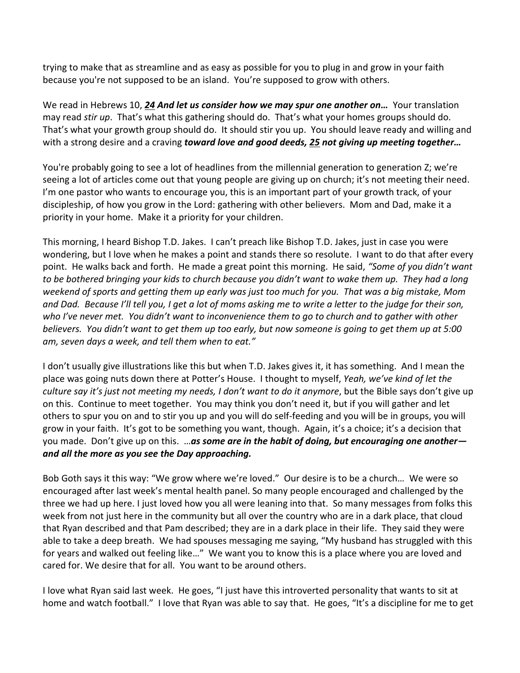trying to make that as streamline and as easy as possible for you to plug in and grow in your faith because you're not supposed to be an island. You're supposed to grow with others.

We read in Hebrews 10, *[24](https://www.studylight.org/desk/?q=heb%2010:24&t1=en_niv&sr=1) And let us consider how we may spur one another on…* Your translation may read *stir up*. That's what this gathering should do. That's what your homes groups should do. That's what your growth group should do. It should stir you up. You should leave ready and willing and with a strong desire and a craving *toward love and good deeds, [25](https://www.studylight.org/desk/?q=heb%2010:25&t1=en_niv&sr=1) not giving up meeting together…* 

You're probably going to see a lot of headlines from the millennial generation to generation Z; we're seeing a lot of articles come out that young people are giving up on church; it's not meeting their need. I'm one pastor who wants to encourage you, this is an important part of your growth track, of your discipleship, of how you grow in the Lord: gathering with other believers. Mom and Dad, make it a priority in your home. Make it a priority for your children.

This morning, I heard Bishop T.D. Jakes. I can't preach like Bishop T.D. Jakes, just in case you were wondering, but I love when he makes a point and stands there so resolute. I want to do that after every point. He walks back and forth. He made a great point this morning. He said, *"Some of you didn't want to be bothered bringing your kids to church because you didn't want to wake them up. They had a long weekend of sports and getting them up early was just too much for you. That was a big mistake, Mom and Dad. Because I'll tell you, I get a lot of moms asking me to write a letter to the judge for their son, who I've never met. You didn't want to inconvenience them to go to church and to gather with other believers. You didn't want to get them up too early, but now someone is going to get them up at 5:00 am, seven days a week, and tell them when to eat."*

I don't usually give illustrations like this but when T.D. Jakes gives it, it has something. And I mean the place was going nuts down there at Potter's House. I thought to myself, *Yeah, we've kind of let the culture say it's just not meeting my needs, I don't want to do it anymore*, but the Bible says don't give up on this. Continue to meet together. You may think you don't need it, but if you will gather and let others to spur you on and to stir you up and you will do self-feeding and you will be in groups, you will grow in your faith. It's got to be something you want, though. Again, it's a choice; it's a decision that you made. Don't give up on this. …*as some are in the habit of doing, but encouraging one another and all the more as you see the Day approaching.*

Bob Goth says it this way: "We grow where we're loved." Our desire is to be a church… We were so encouraged after last week's mental health panel. So many people encouraged and challenged by the three we had up here. I just loved how you all were leaning into that. So many messages from folks this week from not just here in the community but all over the country who are in a dark place, that cloud that Ryan described and that Pam described; they are in a dark place in their life. They said they were able to take a deep breath. We had spouses messaging me saying, "My husband has struggled with this for years and walked out feeling like…" We want you to know this is a place where you are loved and cared for. We desire that for all. You want to be around others.

I love what Ryan said last week. He goes, "I just have this introverted personality that wants to sit at home and watch football." I love that Ryan was able to say that. He goes, "It's a discipline for me to get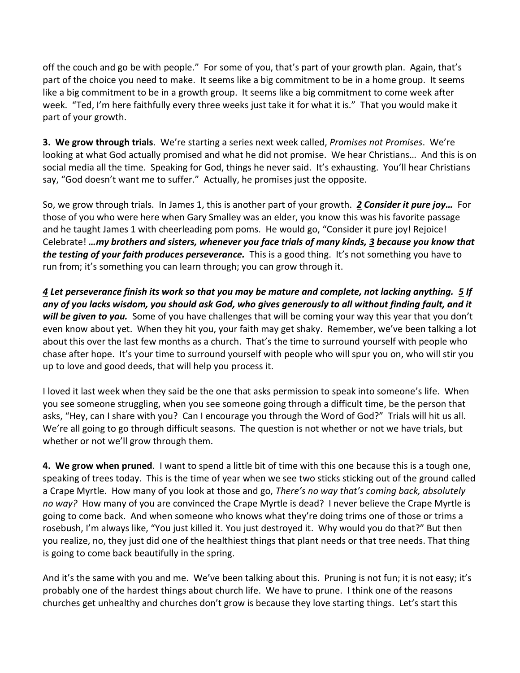off the couch and go be with people." For some of you, that's part of your growth plan. Again, that's part of the choice you need to make. It seems like a big commitment to be in a home group. It seems like a big commitment to be in a growth group. It seems like a big commitment to come week after week. "Ted, I'm here faithfully every three weeks just take it for what it is." That you would make it part of your growth.

**3. We grow through trials**. We're starting a series next week called, *Promises not Promises*. We're looking at what God actually promised and what he did not promise. We hear Christians… And this is on social media all the time. Speaking for God, things he never said. It's exhausting. You'll hear Christians say, "God doesn't want me to suffer." Actually, he promises just the opposite.

So, we grow through trials. In James 1, this is another part of your growth. *[2](https://www.studylight.org/desk/?q=jas%201:2&t1=en_niv&sr=1) Consider it pure joy…* For those of you who were here when Gary Smalley was an elder, you know this was his favorite passage and he taught James 1 with cheerleading pom poms. He would go, "Consider it pure joy! Rejoice! Celebrate! *…my brothers and sisters, whenever you face trials of many kinds, [3](https://www.studylight.org/desk/?q=jas%201:3&t1=en_niv&sr=1) because you know that the testing of your faith produces perseverance.* This is a good thing. It's not something you have to run from; it's something you can learn through; you can grow through it.

*[4](https://www.studylight.org/desk/?q=jas%201:4&t1=en_niv&sr=1) Let perseverance finish its work so that you may be mature and complete, not lacking anything. [5](https://www.studylight.org/desk/?q=jas%201:5&t1=en_niv&sr=1) If any of you lacks wisdom, you should ask God, who gives generously to all without finding fault, and it will be given to you.* Some of you have challenges that will be coming your way this year that you don't even know about yet. When they hit you, your faith may get shaky. Remember, we've been talking a lot about this over the last few months as a church. That's the time to surround yourself with people who chase after hope. It's your time to surround yourself with people who will spur you on, who will stir you up to love and good deeds, that will help you process it.

I loved it last week when they said be the one that asks permission to speak into someone's life. When you see someone struggling, when you see someone going through a difficult time, be the person that asks, "Hey, can I share with you? Can I encourage you through the Word of God?" Trials will hit us all. We're all going to go through difficult seasons. The question is not whether or not we have trials, but whether or not we'll grow through them.

**4. We grow when pruned**. I want to spend a little bit of time with this one because this is a tough one, speaking of trees today. This is the time of year when we see two sticks sticking out of the ground called a Crape Myrtle. How many of you look at those and go, *There's no way that's coming back, absolutely no way?* How many of you are convinced the Crape Myrtle is dead? I never believe the Crape Myrtle is going to come back. And when someone who knows what they're doing trims one of those or trims a rosebush, I'm always like, "You just killed it. You just destroyed it. Why would you do that?" But then you realize, no, they just did one of the healthiest things that plant needs or that tree needs. That thing is going to come back beautifully in the spring.

And it's the same with you and me. We've been talking about this. Pruning is not fun; it is not easy; it's probably one of the hardest things about church life. We have to prune. I think one of the reasons churches get unhealthy and churches don't grow is because they love starting things. Let's start this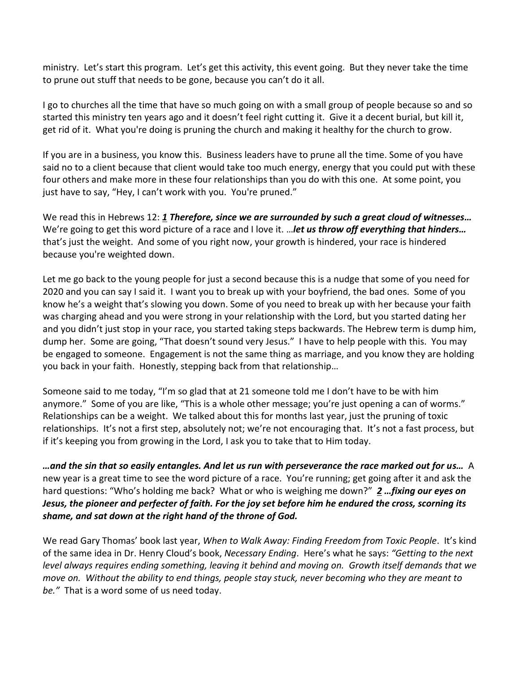ministry. Let's start this program. Let's get this activity, this event going. But they never take the time to prune out stuff that needs to be gone, because you can't do it all.

I go to churches all the time that have so much going on with a small group of people because so and so started this ministry ten years ago and it doesn't feel right cutting it. Give it a decent burial, but kill it, get rid of it. What you're doing is pruning the church and making it healthy for the church to grow.

If you are in a business, you know this. Business leaders have to prune all the time. Some of you have said no to a client because that client would take too much energy, energy that you could put with these four others and make more in these four relationships than you do with this one. At some point, you just have to say, "Hey, I can't work with you. You're pruned."

We read this in Hebrews 12: *[1](https://www.studylight.org/desk/?q=heb%2012:1&t1=en_niv&sr=1) Therefore, since we are surrounded by such a great cloud of witnesses…* We're going to get this word picture of a race and I love it. …*let us throw off everything that hinders…*  that's just the weight. And some of you right now, your growth is hindered, your race is hindered because you're weighted down.

Let me go back to the young people for just a second because this is a nudge that some of you need for 2020 and you can say I said it. I want you to break up with your boyfriend, the bad ones. Some of you know he's a weight that's slowing you down. Some of you need to break up with her because your faith was charging ahead and you were strong in your relationship with the Lord, but you started dating her and you didn't just stop in your race, you started taking steps backwards. The Hebrew term is dump him, dump her. Some are going, "That doesn't sound very Jesus." I have to help people with this. You may be engaged to someone. Engagement is not the same thing as marriage, and you know they are holding you back in your faith. Honestly, stepping back from that relationship…

Someone said to me today, "I'm so glad that at 21 someone told me I don't have to be with him anymore." Some of you are like, "This is a whole other message; you're just opening a can of worms." Relationships can be a weight. We talked about this for months last year, just the pruning of toxic relationships. It's not a first step, absolutely not; we're not encouraging that. It's not a fast process, but if it's keeping you from growing in the Lord, I ask you to take that to Him today.

*…and the sin that so easily entangles. And let us run with perseverance the race marked out for us…* A new year is a great time to see the word picture of a race. You're running; get going after it and ask the hard questions: "Who's holding me back? What or who is weighing me down?" *[2](https://www.studylight.org/desk/?q=heb%2012:2&t1=en_niv&sr=1) …fixing our eyes on Jesus, the pioneer and perfecter of faith. For the joy set before him he endured the cross, scorning its shame, and sat down at the right hand of the throne of God.*

We read Gary Thomas' book last year, *When to Walk Away: Finding Freedom from Toxic People*. It's kind of the same idea in Dr. Henry Cloud's book, *Necessary Ending*. Here's what he says: *"Getting to the next level always requires ending something, leaving it behind and moving on. Growth itself demands that we move on. Without the ability to end things, people stay stuck, never becoming who they are meant to be."* That is a word some of us need today.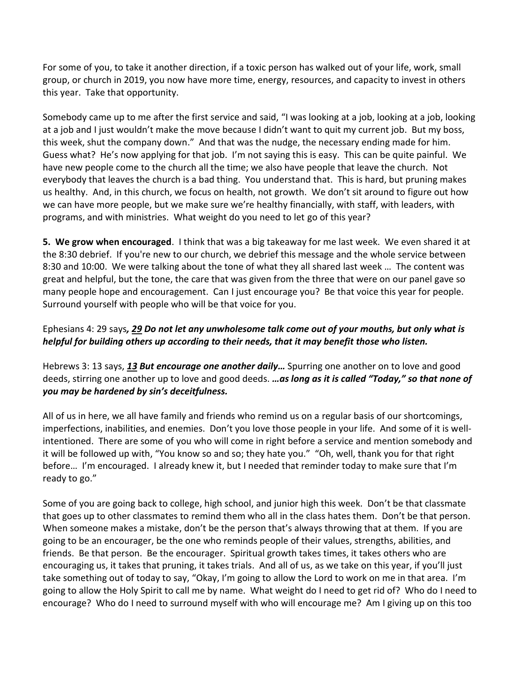For some of you, to take it another direction, if a toxic person has walked out of your life, work, small group, or church in 2019, you now have more time, energy, resources, and capacity to invest in others this year. Take that opportunity.

Somebody came up to me after the first service and said, "I was looking at a job, looking at a job, looking at a job and I just wouldn't make the move because I didn't want to quit my current job. But my boss, this week, shut the company down." And that was the nudge, the necessary ending made for him. Guess what? He's now applying for that job. I'm not saying this is easy. This can be quite painful. We have new people come to the church all the time; we also have people that leave the church. Not everybody that leaves the church is a bad thing. You understand that. This is hard, but pruning makes us healthy. And, in this church, we focus on health, not growth. We don't sit around to figure out how we can have more people, but we make sure we're healthy financially, with staff, with leaders, with programs, and with ministries. What weight do you need to let go of this year?

**5. We grow when encouraged**. I think that was a big takeaway for me last week. We even shared it at the 8:30 debrief. If you're new to our church, we debrief this message and the whole service between 8:30 and 10:00. We were talking about the tone of what they all shared last week … The content was great and helpful, but the tone, the care that was given from the three that were on our panel gave so many people hope and encouragement. Can I just encourage you? Be that voice this year for people. Surround yourself with people who will be that voice for you.

## Ephesians 4: 29 says*, [29](https://www.studylight.org/desk/?q=eph%204:29&t1=en_niv&sr=1) Do not let any unwholesome talk come out of your mouths, but only what is helpful for building others up according to their needs, that it may benefit those who listen.*

Hebrews 3: 13 says, *[13](https://www.studylight.org/desk/?q=heb%203:13&t1=en_niv&sr=1) But encourage one another daily…* Spurring one another on to love and good deeds, stirring one another up to love and good deeds. *…as long as it is called "Today," so that none of you may be hardened by sin's deceitfulness.*

All of us in here, we all have family and friends who remind us on a regular basis of our shortcomings, imperfections, inabilities, and enemies. Don't you love those people in your life. And some of it is wellintentioned. There are some of you who will come in right before a service and mention somebody and it will be followed up with, "You know so and so; they hate you." "Oh, well, thank you for that right before… I'm encouraged. I already knew it, but I needed that reminder today to make sure that I'm ready to go."

Some of you are going back to college, high school, and junior high this week. Don't be that classmate that goes up to other classmates to remind them who all in the class hates them. Don't be that person. When someone makes a mistake, don't be the person that's always throwing that at them. If you are going to be an encourager, be the one who reminds people of their values, strengths, abilities, and friends. Be that person. Be the encourager. Spiritual growth takes times, it takes others who are encouraging us, it takes that pruning, it takes trials. And all of us, as we take on this year, if you'll just take something out of today to say, "Okay, I'm going to allow the Lord to work on me in that area. I'm going to allow the Holy Spirit to call me by name. What weight do I need to get rid of? Who do I need to encourage? Who do I need to surround myself with who will encourage me? Am I giving up on this too